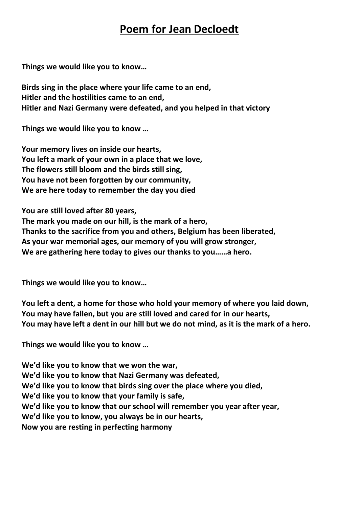## **Poem for Jean Decloedt**

**Things we would like you to know…**

**Birds sing in the place where your life came to an end, Hitler and the hostilities came to an end, Hitler and Nazi Germany were defeated, and you helped in that victory**

**Things we would like you to know …**

**Your memory lives on inside our hearts, You left a mark of your own in a place that we love, The flowers still bloom and the birds still sing, You have not been forgotten by our community, We are here today to remember the day you died**

**You are still loved after 80 years,**

**The mark you made on our hill, is the mark of a hero,**

**Thanks to the sacrifice from you and others, Belgium has been liberated,**

**As your war memorial ages, our memory of you will grow stronger,**

**We are gathering here today to gives our thanks to you……a hero.**

**Things we would like you to know…**

**You left a dent, a home for those who hold your memory of where you laid down, You may have fallen, but you are still loved and cared for in our hearts, You may have left a dent in our hill but we do not mind, as it is the mark of a hero.**

**Things we would like you to know …**

**We'd like you to know that we won the war, We'd like you to know that Nazi Germany was defeated, We'd like you to know that birds sing over the place where you died, We'd like you to know that your family is safe, We'd like you to know that our school will remember you year after year, We'd like you to know, you always be in our hearts, Now you are resting in perfecting harmony**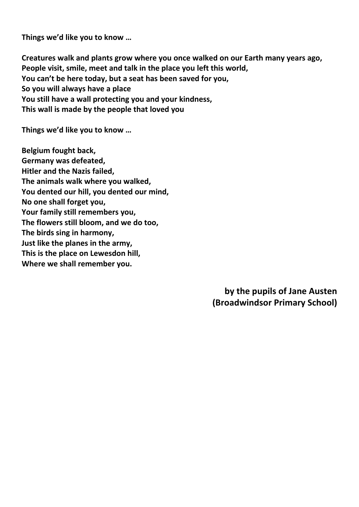**Things we'd like you to know …**

**Creatures walk and plants grow where you once walked on our Earth many years ago, People visit, smile, meet and talk in the place you left this world, You can't be here today, but a seat has been saved for you, So you will always have a place You still have a wall protecting you and your kindness, This wall is made by the people that loved you**

**Things we'd like you to know …**

**Belgium fought back, Germany was defeated, Hitler and the Nazis failed, The animals walk where you walked, You dented our hill, you dented our mind, No one shall forget you, Your family still remembers you, The flowers still bloom, and we do too, The birds sing in harmony, Just like the planes in the army, This is the place on Lewesdon hill, Where we shall remember you.**

> **by the pupils of Jane Austen (Broadwindsor Primary School)**